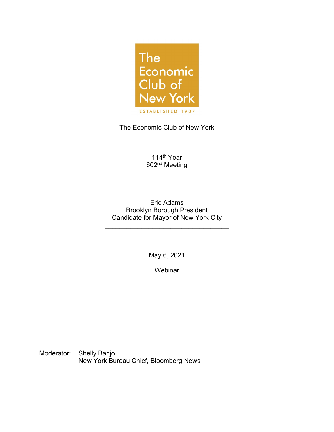

The Economic Club of New York

114<sup>th</sup> Year 602nd Meeting

Eric Adams Brooklyn Borough President Candidate for Mayor of New York City

\_\_\_\_\_\_\_\_\_\_\_\_\_\_\_\_\_\_\_\_\_\_\_\_\_\_\_\_\_\_\_\_\_\_

\_\_\_\_\_\_\_\_\_\_\_\_\_\_\_\_\_\_\_\_\_\_\_\_\_\_\_\_\_\_\_\_\_\_

May 6, 2021

**Webinar** 

Moderator: Shelly Banjo New York Bureau Chief, Bloomberg News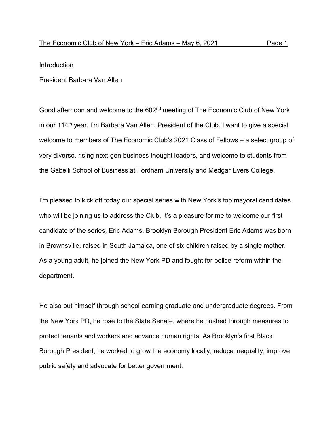## Introduction

President Barbara Van Allen

Good afternoon and welcome to the 602<sup>nd</sup> meeting of The Economic Club of New York in our 114<sup>th</sup> year. I'm Barbara Van Allen, President of the Club. I want to give a special welcome to members of The Economic Club's 2021 Class of Fellows – a select group of very diverse, rising next-gen business thought leaders, and welcome to students from the Gabelli School of Business at Fordham University and Medgar Evers College.

I'm pleased to kick off today our special series with New York's top mayoral candidates who will be joining us to address the Club. It's a pleasure for me to welcome our first candidate of the series, Eric Adams. Brooklyn Borough President Eric Adams was born in Brownsville, raised in South Jamaica, one of six children raised by a single mother. As a young adult, he joined the New York PD and fought for police reform within the department.

He also put himself through school earning graduate and undergraduate degrees. From the New York PD, he rose to the State Senate, where he pushed through measures to protect tenants and workers and advance human rights. As Brooklyn's first Black Borough President, he worked to grow the economy locally, reduce inequality, improve public safety and advocate for better government.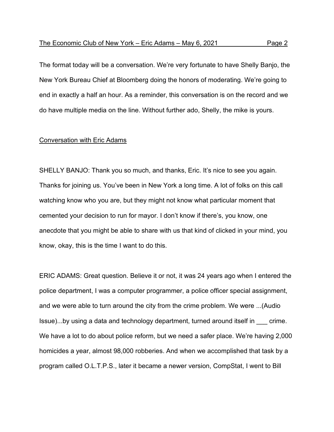The format today will be a conversation. We're very fortunate to have Shelly Banjo, the New York Bureau Chief at Bloomberg doing the honors of moderating. We're going to end in exactly a half an hour. As a reminder, this conversation is on the record and we do have multiple media on the line. Without further ado, Shelly, the mike is yours.

## Conversation with Eric Adams

SHELLY BANJO: Thank you so much, and thanks, Eric. It's nice to see you again. Thanks for joining us. You've been in New York a long time. A lot of folks on this call watching know who you are, but they might not know what particular moment that cemented your decision to run for mayor. I don't know if there's, you know, one anecdote that you might be able to share with us that kind of clicked in your mind, you know, okay, this is the time I want to do this.

ERIC ADAMS: Great question. Believe it or not, it was 24 years ago when I entered the police department, I was a computer programmer, a police officer special assignment, and we were able to turn around the city from the crime problem. We were ...(Audio Issue)...by using a data and technology department, turned around itself in \_\_\_ crime. We have a lot to do about police reform, but we need a safer place. We're having 2,000 homicides a year, almost 98,000 robberies. And when we accomplished that task by a program called O.L.T.P.S., later it became a newer version, CompStat, I went to Bill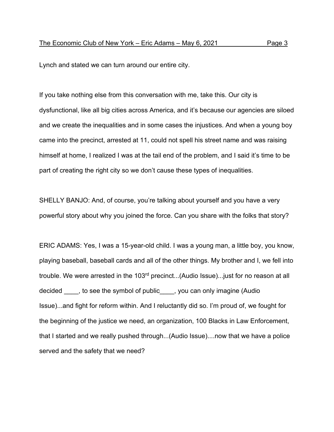Lynch and stated we can turn around our entire city.

If you take nothing else from this conversation with me, take this. Our city is dysfunctional, like all big cities across America, and it's because our agencies are siloed and we create the inequalities and in some cases the injustices. And when a young boy came into the precinct, arrested at 11, could not spell his street name and was raising himself at home, I realized I was at the tail end of the problem, and I said it's time to be part of creating the right city so we don't cause these types of inequalities.

SHELLY BANJO: And, of course, you're talking about yourself and you have a very powerful story about why you joined the force. Can you share with the folks that story?

ERIC ADAMS: Yes, I was a 15-year-old child. I was a young man, a little boy, you know, playing baseball, baseball cards and all of the other things. My brother and I, we fell into trouble. We were arrested in the 103<sup>rd</sup> precinct...(Audio Issue)... just for no reason at all decided \_\_\_\_, to see the symbol of public\_\_\_\_, you can only imagine (Audio Issue)...and fight for reform within. And I reluctantly did so. I'm proud of, we fought for the beginning of the justice we need, an organization, 100 Blacks in Law Enforcement, that I started and we really pushed through...(Audio Issue)....now that we have a police served and the safety that we need?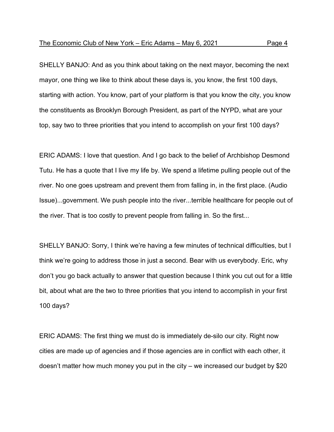SHELLY BANJO: And as you think about taking on the next mayor, becoming the next mayor, one thing we like to think about these days is, you know, the first 100 days, starting with action. You know, part of your platform is that you know the city, you know the constituents as Brooklyn Borough President, as part of the NYPD, what are your top, say two to three priorities that you intend to accomplish on your first 100 days?

ERIC ADAMS: I love that question. And I go back to the belief of Archbishop Desmond Tutu. He has a quote that I live my life by. We spend a lifetime pulling people out of the river. No one goes upstream and prevent them from falling in, in the first place. (Audio Issue)...government. We push people into the river...terrible healthcare for people out of the river. That is too costly to prevent people from falling in. So the first...

SHELLY BANJO: Sorry, I think we're having a few minutes of technical difficulties, but I think we're going to address those in just a second. Bear with us everybody. Eric, why don't you go back actually to answer that question because I think you cut out for a little bit, about what are the two to three priorities that you intend to accomplish in your first 100 days?

ERIC ADAMS: The first thing we must do is immediately de-silo our city. Right now cities are made up of agencies and if those agencies are in conflict with each other, it doesn't matter how much money you put in the city – we increased our budget by \$20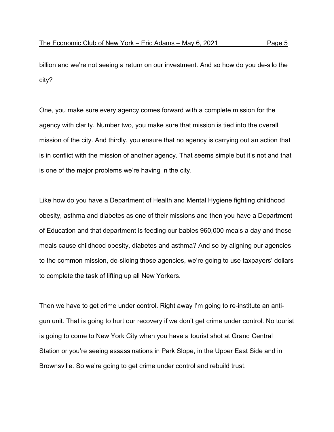billion and we're not seeing a return on our investment. And so how do you de-silo the city?

One, you make sure every agency comes forward with a complete mission for the agency with clarity. Number two, you make sure that mission is tied into the overall mission of the city. And thirdly, you ensure that no agency is carrying out an action that is in conflict with the mission of another agency. That seems simple but it's not and that is one of the major problems we're having in the city.

Like how do you have a Department of Health and Mental Hygiene fighting childhood obesity, asthma and diabetes as one of their missions and then you have a Department of Education and that department is feeding our babies 960,000 meals a day and those meals cause childhood obesity, diabetes and asthma? And so by aligning our agencies to the common mission, de-siloing those agencies, we're going to use taxpayers' dollars to complete the task of lifting up all New Yorkers.

Then we have to get crime under control. Right away I'm going to re-institute an antigun unit. That is going to hurt our recovery if we don't get crime under control. No tourist is going to come to New York City when you have a tourist shot at Grand Central Station or you're seeing assassinations in Park Slope, in the Upper East Side and in Brownsville. So we're going to get crime under control and rebuild trust.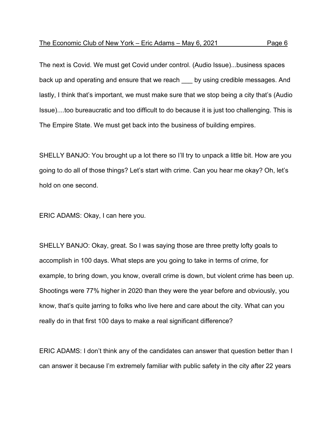The next is Covid. We must get Covid under control. (Audio Issue)...business spaces back up and operating and ensure that we reach by using credible messages. And lastly, I think that's important, we must make sure that we stop being a city that's (Audio Issue)....too bureaucratic and too difficult to do because it is just too challenging. This is The Empire State. We must get back into the business of building empires.

SHELLY BANJO: You brought up a lot there so I'll try to unpack a little bit. How are you going to do all of those things? Let's start with crime. Can you hear me okay? Oh, let's hold on one second.

ERIC ADAMS: Okay, I can here you.

SHELLY BANJO: Okay, great. So I was saying those are three pretty lofty goals to accomplish in 100 days. What steps are you going to take in terms of crime, for example, to bring down, you know, overall crime is down, but violent crime has been up. Shootings were 77% higher in 2020 than they were the year before and obviously, you know, that's quite jarring to folks who live here and care about the city. What can you really do in that first 100 days to make a real significant difference?

ERIC ADAMS: I don't think any of the candidates can answer that question better than I can answer it because I'm extremely familiar with public safety in the city after 22 years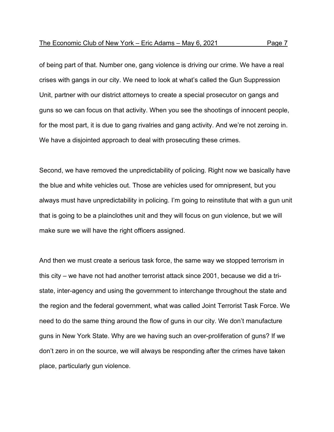of being part of that. Number one, gang violence is driving our crime. We have a real crises with gangs in our city. We need to look at what's called the Gun Suppression Unit, partner with our district attorneys to create a special prosecutor on gangs and guns so we can focus on that activity. When you see the shootings of innocent people, for the most part, it is due to gang rivalries and gang activity. And we're not zeroing in. We have a disjointed approach to deal with prosecuting these crimes.

Second, we have removed the unpredictability of policing. Right now we basically have the blue and white vehicles out. Those are vehicles used for omnipresent, but you always must have unpredictability in policing. I'm going to reinstitute that with a gun unit that is going to be a plainclothes unit and they will focus on gun violence, but we will make sure we will have the right officers assigned.

And then we must create a serious task force, the same way we stopped terrorism in this city – we have not had another terrorist attack since 2001, because we did a tristate, inter-agency and using the government to interchange throughout the state and the region and the federal government, what was called Joint Terrorist Task Force. We need to do the same thing around the flow of guns in our city. We don't manufacture guns in New York State. Why are we having such an over-proliferation of guns? If we don't zero in on the source, we will always be responding after the crimes have taken place, particularly gun violence.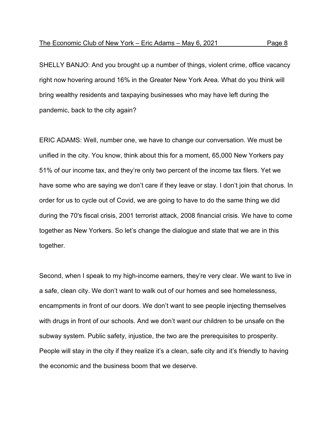SHELLY BANJO: And you brought up a number of things, violent crime, office vacancy right now hovering around 16% in the Greater New York Area. What do you think will bring wealthy residents and taxpaying businesses who may have left during the pandemic, back to the city again?

ERIC ADAMS: Well, number one, we have to change our conversation. We must be unified in the city. You know, think about this for a moment, 65,000 New Yorkers pay 51% of our income tax, and they're only two percent of the income tax filers. Yet we have some who are saying we don't care if they leave or stay. I don't join that chorus. In order for us to cycle out of Covid, we are going to have to do the same thing we did during the 70's fiscal crisis, 2001 terrorist attack, 2008 financial crisis. We have to come together as New Yorkers. So let's change the dialogue and state that we are in this together.

Second, when I speak to my high-income earners, they're very clear. We want to live in a safe, clean city. We don't want to walk out of our homes and see homelessness, encampments in front of our doors. We don't want to see people injecting themselves with drugs in front of our schools. And we don't want our children to be unsafe on the subway system. Public safety, injustice, the two are the prerequisites to prosperity. People will stay in the city if they realize it's a clean, safe city and it's friendly to having the economic and the business boom that we deserve.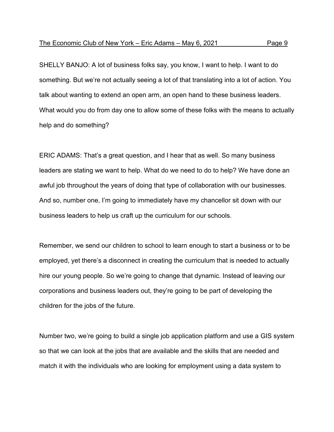SHELLY BANJO: A lot of business folks say, you know, I want to help. I want to do something. But we're not actually seeing a lot of that translating into a lot of action. You talk about wanting to extend an open arm, an open hand to these business leaders. What would you do from day one to allow some of these folks with the means to actually help and do something?

ERIC ADAMS: That's a great question, and I hear that as well. So many business leaders are stating we want to help. What do we need to do to help? We have done an awful job throughout the years of doing that type of collaboration with our businesses. And so, number one, I'm going to immediately have my chancellor sit down with our business leaders to help us craft up the curriculum for our schools.

Remember, we send our children to school to learn enough to start a business or to be employed, yet there's a disconnect in creating the curriculum that is needed to actually hire our young people. So we're going to change that dynamic. Instead of leaving our corporations and business leaders out, they're going to be part of developing the children for the jobs of the future.

Number two, we're going to build a single job application platform and use a GIS system so that we can look at the jobs that are available and the skills that are needed and match it with the individuals who are looking for employment using a data system to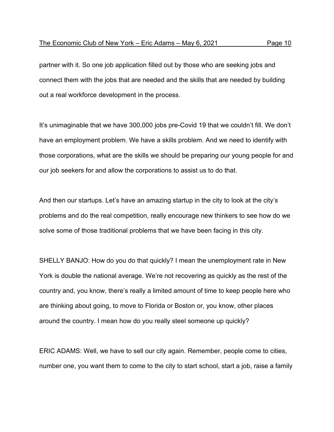partner with it. So one job application filled out by those who are seeking jobs and connect them with the jobs that are needed and the skills that are needed by building out a real workforce development in the process.

It's unimaginable that we have 300,000 jobs pre-Covid 19 that we couldn't fill. We don't have an employment problem. We have a skills problem. And we need to identify with those corporations, what are the skills we should be preparing our young people for and our job seekers for and allow the corporations to assist us to do that.

And then our startups. Let's have an amazing startup in the city to look at the city's problems and do the real competition, really encourage new thinkers to see how do we solve some of those traditional problems that we have been facing in this city.

SHELLY BANJO: How do you do that quickly? I mean the unemployment rate in New York is double the national average. We're not recovering as quickly as the rest of the country and, you know, there's really a limited amount of time to keep people here who are thinking about going, to move to Florida or Boston or, you know, other places around the country. I mean how do you really steel someone up quickly?

ERIC ADAMS: Well, we have to sell our city again. Remember, people come to cities, number one, you want them to come to the city to start school, start a job, raise a family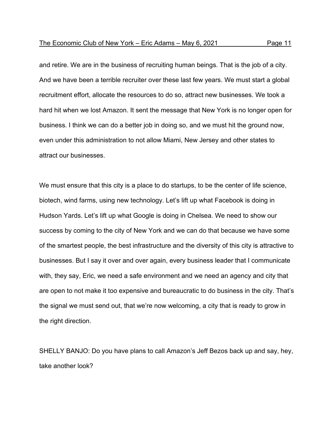and retire. We are in the business of recruiting human beings. That is the job of a city. And we have been a terrible recruiter over these last few years. We must start a global recruitment effort, allocate the resources to do so, attract new businesses. We took a hard hit when we lost Amazon. It sent the message that New York is no longer open for business. I think we can do a better job in doing so, and we must hit the ground now, even under this administration to not allow Miami, New Jersey and other states to attract our businesses.

We must ensure that this city is a place to do startups, to be the center of life science, biotech, wind farms, using new technology. Let's lift up what Facebook is doing in Hudson Yards. Let's lift up what Google is doing in Chelsea. We need to show our success by coming to the city of New York and we can do that because we have some of the smartest people, the best infrastructure and the diversity of this city is attractive to businesses. But I say it over and over again, every business leader that I communicate with, they say, Eric, we need a safe environment and we need an agency and city that are open to not make it too expensive and bureaucratic to do business in the city. That's the signal we must send out, that we're now welcoming, a city that is ready to grow in the right direction.

SHELLY BANJO: Do you have plans to call Amazon's Jeff Bezos back up and say, hey, take another look?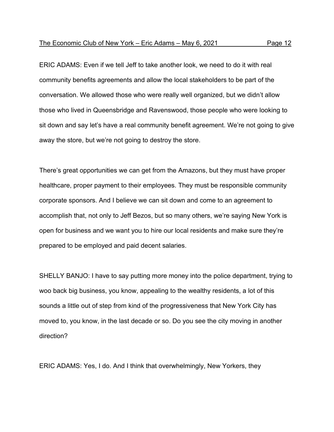ERIC ADAMS: Even if we tell Jeff to take another look, we need to do it with real community benefits agreements and allow the local stakeholders to be part of the conversation. We allowed those who were really well organized, but we didn't allow those who lived in Queensbridge and Ravenswood, those people who were looking to sit down and say let's have a real community benefit agreement. We're not going to give away the store, but we're not going to destroy the store.

There's great opportunities we can get from the Amazons, but they must have proper healthcare, proper payment to their employees. They must be responsible community corporate sponsors. And I believe we can sit down and come to an agreement to accomplish that, not only to Jeff Bezos, but so many others, we're saying New York is open for business and we want you to hire our local residents and make sure they're prepared to be employed and paid decent salaries.

SHELLY BANJO: I have to say putting more money into the police department, trying to woo back big business, you know, appealing to the wealthy residents, a lot of this sounds a little out of step from kind of the progressiveness that New York City has moved to, you know, in the last decade or so. Do you see the city moving in another direction?

ERIC ADAMS: Yes, I do. And I think that overwhelmingly, New Yorkers, they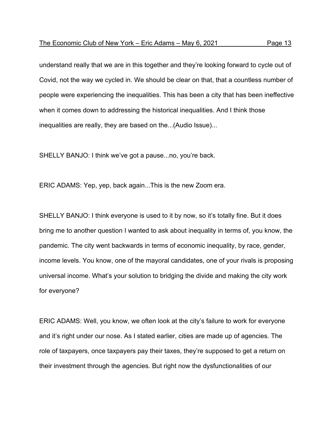understand really that we are in this together and they're looking forward to cycle out of Covid, not the way we cycled in. We should be clear on that, that a countless number of people were experiencing the inequalities. This has been a city that has been ineffective when it comes down to addressing the historical inequalities. And I think those inequalities are really, they are based on the...(Audio Issue)...

SHELLY BANJO: I think we've got a pause...no, you're back.

ERIC ADAMS: Yep, yep, back again...This is the new Zoom era.

SHELLY BANJO: I think everyone is used to it by now, so it's totally fine. But it does bring me to another question I wanted to ask about inequality in terms of, you know, the pandemic. The city went backwards in terms of economic inequality, by race, gender, income levels. You know, one of the mayoral candidates, one of your rivals is proposing universal income. What's your solution to bridging the divide and making the city work for everyone?

ERIC ADAMS: Well, you know, we often look at the city's failure to work for everyone and it's right under our nose. As I stated earlier, cities are made up of agencies. The role of taxpayers, once taxpayers pay their taxes, they're supposed to get a return on their investment through the agencies. But right now the dysfunctionalities of our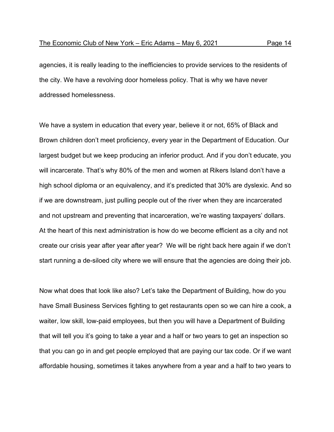agencies, it is really leading to the inefficiencies to provide services to the residents of the city. We have a revolving door homeless policy. That is why we have never addressed homelessness.

We have a system in education that every year, believe it or not, 65% of Black and Brown children don't meet proficiency, every year in the Department of Education. Our largest budget but we keep producing an inferior product. And if you don't educate, you will incarcerate. That's why 80% of the men and women at Rikers Island don't have a high school diploma or an equivalency, and it's predicted that 30% are dyslexic. And so if we are downstream, just pulling people out of the river when they are incarcerated and not upstream and preventing that incarceration, we're wasting taxpayers' dollars. At the heart of this next administration is how do we become efficient as a city and not create our crisis year after year after year? We will be right back here again if we don't start running a de-siloed city where we will ensure that the agencies are doing their job.

Now what does that look like also? Let's take the Department of Building, how do you have Small Business Services fighting to get restaurants open so we can hire a cook, a waiter, low skill, low-paid employees, but then you will have a Department of Building that will tell you it's going to take a year and a half or two years to get an inspection so that you can go in and get people employed that are paying our tax code. Or if we want affordable housing, sometimes it takes anywhere from a year and a half to two years to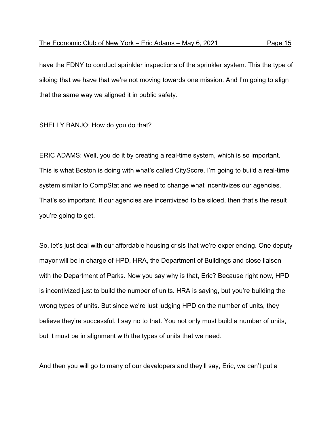have the FDNY to conduct sprinkler inspections of the sprinkler system. This the type of siloing that we have that we're not moving towards one mission. And I'm going to align that the same way we aligned it in public safety.

## SHELLY BANJO: How do you do that?

ERIC ADAMS: Well, you do it by creating a real-time system, which is so important. This is what Boston is doing with what's called CityScore. I'm going to build a real-time system similar to CompStat and we need to change what incentivizes our agencies. That's so important. If our agencies are incentivized to be siloed, then that's the result you're going to get.

So, let's just deal with our affordable housing crisis that we're experiencing. One deputy mayor will be in charge of HPD, HRA, the Department of Buildings and close liaison with the Department of Parks. Now you say why is that, Eric? Because right now, HPD is incentivized just to build the number of units. HRA is saying, but you're building the wrong types of units. But since we're just judging HPD on the number of units, they believe they're successful. I say no to that. You not only must build a number of units, but it must be in alignment with the types of units that we need.

And then you will go to many of our developers and they'll say, Eric, we can't put a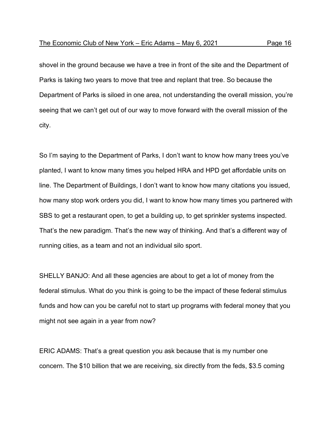shovel in the ground because we have a tree in front of the site and the Department of Parks is taking two years to move that tree and replant that tree. So because the Department of Parks is siloed in one area, not understanding the overall mission, you're seeing that we can't get out of our way to move forward with the overall mission of the city.

So I'm saying to the Department of Parks, I don't want to know how many trees you've planted, I want to know many times you helped HRA and HPD get affordable units on line. The Department of Buildings, I don't want to know how many citations you issued, how many stop work orders you did, I want to know how many times you partnered with SBS to get a restaurant open, to get a building up, to get sprinkler systems inspected. That's the new paradigm. That's the new way of thinking. And that's a different way of running cities, as a team and not an individual silo sport.

SHELLY BANJO: And all these agencies are about to get a lot of money from the federal stimulus. What do you think is going to be the impact of these federal stimulus funds and how can you be careful not to start up programs with federal money that you might not see again in a year from now?

ERIC ADAMS: That's a great question you ask because that is my number one concern. The \$10 billion that we are receiving, six directly from the feds, \$3.5 coming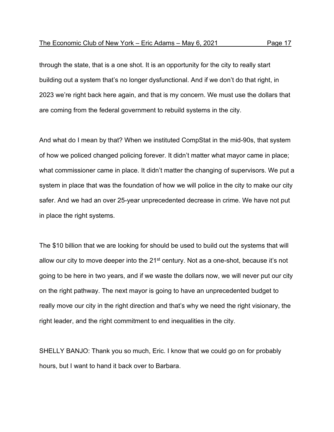through the state, that is a one shot. It is an opportunity for the city to really start building out a system that's no longer dysfunctional. And if we don't do that right, in 2023 we're right back here again, and that is my concern. We must use the dollars that are coming from the federal government to rebuild systems in the city.

And what do I mean by that? When we instituted CompStat in the mid-90s, that system of how we policed changed policing forever. It didn't matter what mayor came in place; what commissioner came in place. It didn't matter the changing of supervisors. We put a system in place that was the foundation of how we will police in the city to make our city safer. And we had an over 25-year unprecedented decrease in crime. We have not put in place the right systems.

The \$10 billion that we are looking for should be used to build out the systems that will allow our city to move deeper into the 21<sup>st</sup> century. Not as a one-shot, because it's not going to be here in two years, and if we waste the dollars now, we will never put our city on the right pathway. The next mayor is going to have an unprecedented budget to really move our city in the right direction and that's why we need the right visionary, the right leader, and the right commitment to end inequalities in the city.

SHELLY BANJO: Thank you so much, Eric. I know that we could go on for probably hours, but I want to hand it back over to Barbara.